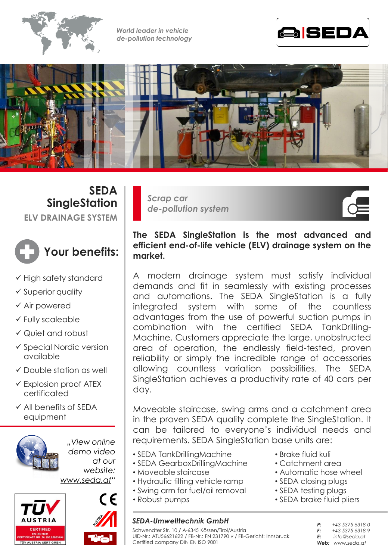

*World leader in vehicle de-pollution technology*





**SEDA SingleStation ELV DRAINAGE SYSTEM**



- $\checkmark$  High safety standard
- $\checkmark$  Superior quality
- Air powered
- Fully scaleable
- Quiet and robust
- $\checkmark$  Special Nordic version available
- $\checkmark$  Double station as well
- $\checkmark$  Explosion proof ATEX certificated
- $\checkmark$  All benefits of SFDA equipment



*"View online demo video at our website:*

*www.seda.at"*





*Scrap car de-pollution system*

# **The SEDA SingleStation is the most advanced and efficient end-of-life vehicle (ELV) drainage system on the market.**

A modern drainage system must satisfy individual demands and fit in seamlessly with existing processes and automations. The SEDA SingleStation is a fully integrated system with some of the countless advantages from the use of powerful suction pumps in combination with the certified SEDA TankDrilling-Machine. Customers appreciate the large, unobstructed area of operation, the endlessly field-tested, proven reliability or simply the incredible range of accessories allowing countless variation possibilities. The SEDA SingleStation achieves a productivity rate of 40 cars per day.

Moveable staircase, swing arms and a catchment area in the proven SEDA quality complete the SingleStation. It can be tailored to everyone's individual needs and requirements. SEDA SingleStation base units are:

- SEDA TankDrillingMachine
- SEDA GearboxDrillingMachine
- Moveable staircase
- Hydraulic tilting vehicle ramp
- Swing arm for fuel/oil removal
- Robust pumps

## *SEDA-Umwelttechnik GmbH*

Schwendter Str. 10 **/** A-6345 Kössen/Tirol/Austria

• Brake fluid kuli

- Catchment area
- Automatic hose wheel
- SEDA closing plugs
- SEDA testing plugs
- SEDA brake fluid pliers
	- *P: +43 5375 6318-0 F: +43 5375 6318-9 E: info@seda.at Web: www.seda.at*

UID-Nr.: ATU56621622 / FB-Nr.: FN 231790 v / FB-Gericht: Innsbruck Certified company DIN EN ISO 9001